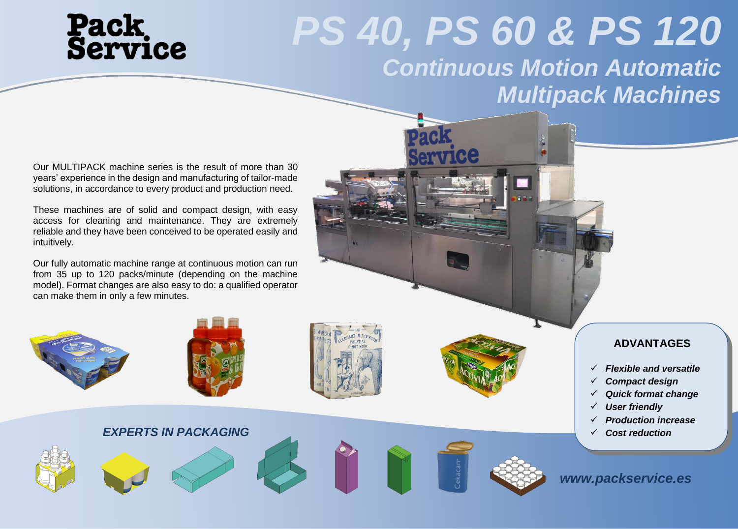## **Pack<br>Service**

### *PS 40, PS 60 & PS 120 Continuous Motion Automatic Multipack Machines*

Our MULTIPACK machine series is the result of more than 30 years' experience in the design and manufacturing of tailor-made solutions, in accordance to every product and production need.

These machines are of solid and compact design, with easy access for cleaning and maintenance. They are extremely reliable and they have been conceived to be operated easily and intuitively.

Our fully automatic machine range at continuous motion can run from 35 up to 120 packs/minute (depending on the machine model). Format changes are also easy to do: a qualified operator can make them in only a few minutes.

*EXPERTS IN PACKAGING*









### **ADVANTAGES**

- ✓ *Flexible and versatile*
- ✓ *Compact design*
- ✓ *Quick format change*
- ✓ *User friendly*
- ✓ *Production increase*
- ✓ *Cost reduction*

*[www.packservice.es](http://www.klikwood.com/) www.packservice.es*